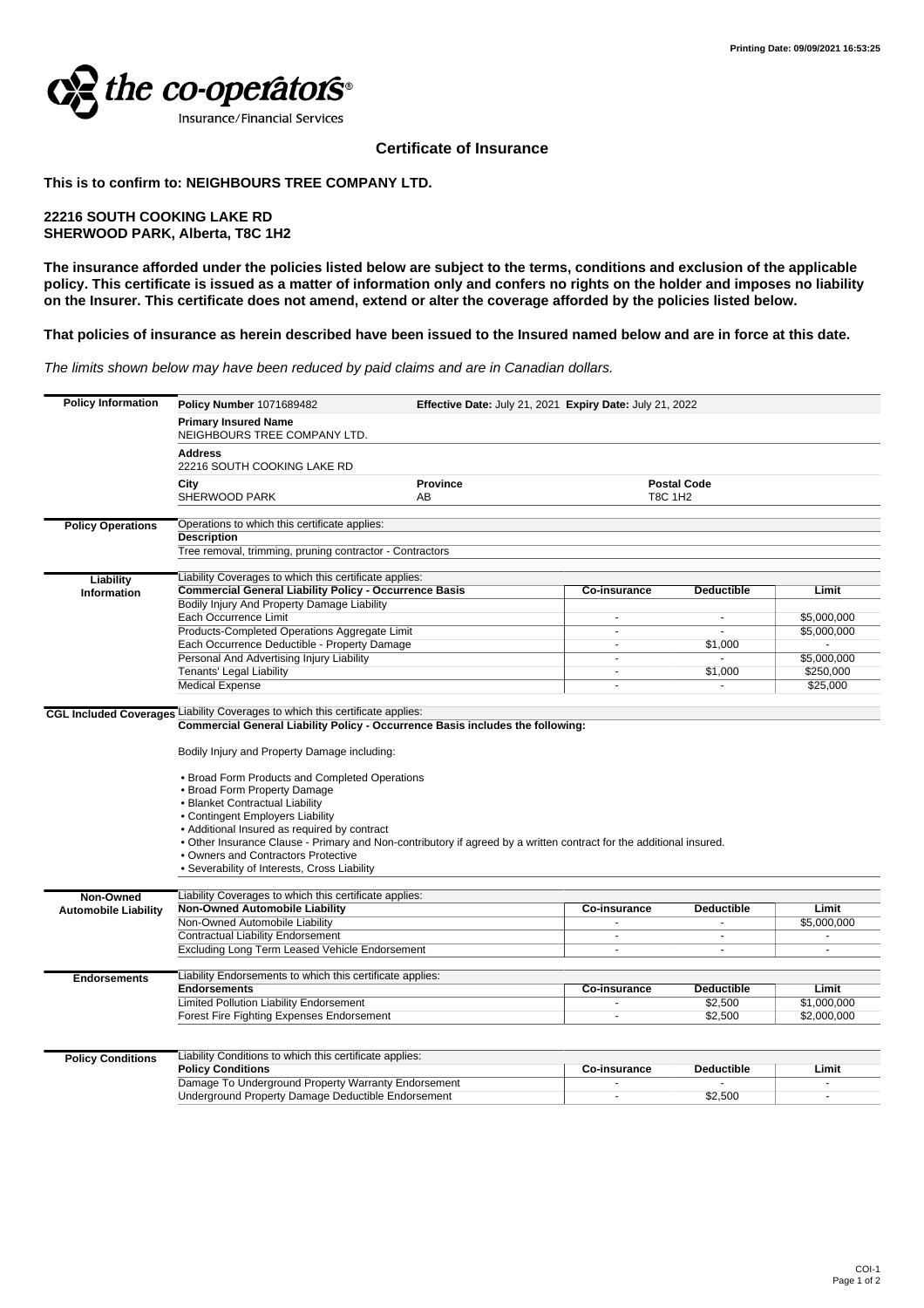

## **Certificate of Insurance**

## **This is to confirm to: NEIGHBOURS TREE COMPANY LTD.**

## **22216 SOUTH COOKING LAKE RD SHERWOOD PARK, Alberta, T8C 1H2**

**The insurance afforded under the policies listed below are subject to the terms, conditions and exclusion of the applicable policy. This certificate is issued as a matter of information only and confers no rights on the holder and imposes no liability on the Insurer. This certificate does not amend, extend or alter the coverage afforded by the policies listed below.**

## **That policies of insurance as herein described have been issued to the Insured named below and are in force at this date.**

The limits shown below may have been reduced by paid claims and are in Canadian dollars.

| <b>Policy Information</b>     | <b>Policy Number 1071689482</b><br>Effective Date: July 21, 2021 Expiry Date: July 21, 2022<br><b>Primary Insured Name</b><br>NEIGHBOURS TREE COMPANY LTD.<br><b>Address</b><br>22216 SOUTH COOKING LAKE RD                                                                                                                                                                                                                                                                                                                                           |  |                                      |                          |             |
|-------------------------------|-------------------------------------------------------------------------------------------------------------------------------------------------------------------------------------------------------------------------------------------------------------------------------------------------------------------------------------------------------------------------------------------------------------------------------------------------------------------------------------------------------------------------------------------------------|--|--------------------------------------|--------------------------|-------------|
|                               |                                                                                                                                                                                                                                                                                                                                                                                                                                                                                                                                                       |  |                                      |                          |             |
|                               |                                                                                                                                                                                                                                                                                                                                                                                                                                                                                                                                                       |  |                                      |                          |             |
|                               | <b>Province</b><br>City<br><b>SHERWOOD PARK</b><br>AB                                                                                                                                                                                                                                                                                                                                                                                                                                                                                                 |  | <b>Postal Code</b><br><b>T8C 1H2</b> |                          |             |
| <b>Policy Operations</b>      | Operations to which this certificate applies:<br><b>Description</b><br>Tree removal, trimming, pruning contractor - Contractors                                                                                                                                                                                                                                                                                                                                                                                                                       |  |                                      |                          |             |
|                               |                                                                                                                                                                                                                                                                                                                                                                                                                                                                                                                                                       |  |                                      |                          |             |
|                               |                                                                                                                                                                                                                                                                                                                                                                                                                                                                                                                                                       |  |                                      |                          |             |
| Liability                     | Liability Coverages to which this certificate applies:                                                                                                                                                                                                                                                                                                                                                                                                                                                                                                |  |                                      |                          |             |
| Information                   | <b>Commercial General Liability Policy - Occurrence Basis</b>                                                                                                                                                                                                                                                                                                                                                                                                                                                                                         |  | Co-insurance                         | <b>Deductible</b>        | Limit       |
|                               | Bodily Injury And Property Damage Liability                                                                                                                                                                                                                                                                                                                                                                                                                                                                                                           |  |                                      |                          |             |
|                               | Each Occurrence Limit                                                                                                                                                                                                                                                                                                                                                                                                                                                                                                                                 |  |                                      | $\overline{\phantom{a}}$ | \$5,000,000 |
|                               | Products-Completed Operations Aggregate Limit                                                                                                                                                                                                                                                                                                                                                                                                                                                                                                         |  |                                      |                          | \$5,000,000 |
|                               | Each Occurrence Deductible - Property Damage                                                                                                                                                                                                                                                                                                                                                                                                                                                                                                          |  | $\sim$                               | \$1,000                  |             |
|                               | Personal And Advertising Injury Liability                                                                                                                                                                                                                                                                                                                                                                                                                                                                                                             |  | ÷.                                   |                          | \$5,000,000 |
|                               | Tenants' Legal Liability                                                                                                                                                                                                                                                                                                                                                                                                                                                                                                                              |  |                                      | \$1,000                  | \$250,000   |
|                               | <b>Medical Expense</b>                                                                                                                                                                                                                                                                                                                                                                                                                                                                                                                                |  | ÷.                                   | $\overline{a}$           | \$25,000    |
|                               | Liability Coverages to which this certificate applies:                                                                                                                                                                                                                                                                                                                                                                                                                                                                                                |  |                                      |                          |             |
| <b>CGL Included Coverages</b> | Commercial General Liability Policy - Occurrence Basis includes the following:<br>Bodily Injury and Property Damage including:<br>• Broad Form Products and Completed Operations<br>• Broad Form Property Damage<br>· Blanket Contractual Liability<br>• Contingent Employers Liability<br>• Additional Insured as required by contract<br>. Other Insurance Clause - Primary and Non-contributory if agreed by a written contract for the additional insured.<br>. Owners and Contractors Protective<br>• Severability of Interests, Cross Liability |  |                                      |                          |             |
|                               |                                                                                                                                                                                                                                                                                                                                                                                                                                                                                                                                                       |  |                                      |                          |             |
|                               |                                                                                                                                                                                                                                                                                                                                                                                                                                                                                                                                                       |  |                                      |                          |             |
| Non-Owned                     | Liability Coverages to which this certificate applies:                                                                                                                                                                                                                                                                                                                                                                                                                                                                                                |  |                                      |                          |             |
| <b>Automobile Liability</b>   | <b>Non-Owned Automobile Liability</b>                                                                                                                                                                                                                                                                                                                                                                                                                                                                                                                 |  | <b>Co-insurance</b>                  | <b>Deductible</b>        | Limit       |
|                               | Non-Owned Automobile Liability                                                                                                                                                                                                                                                                                                                                                                                                                                                                                                                        |  |                                      |                          | \$5,000,000 |
|                               | Contractual Liability Endorsement                                                                                                                                                                                                                                                                                                                                                                                                                                                                                                                     |  | ÷.                                   | ä,                       |             |
|                               | Excluding Long Term Leased Vehicle Endorsement                                                                                                                                                                                                                                                                                                                                                                                                                                                                                                        |  |                                      |                          |             |
| <b>Endorsements</b>           | Liability Endorsements to which this certificate applies:                                                                                                                                                                                                                                                                                                                                                                                                                                                                                             |  |                                      |                          |             |
|                               | <b>Endorsements</b>                                                                                                                                                                                                                                                                                                                                                                                                                                                                                                                                   |  | Co-insurance                         | <b>Deductible</b>        | Limit       |
|                               | Limited Pollution Liability Endorsement                                                                                                                                                                                                                                                                                                                                                                                                                                                                                                               |  |                                      | \$2,500                  | \$1,000,000 |
|                               | Forest Fire Fighting Expenses Endorsement                                                                                                                                                                                                                                                                                                                                                                                                                                                                                                             |  |                                      | \$2,500                  | \$2,000,000 |
|                               |                                                                                                                                                                                                                                                                                                                                                                                                                                                                                                                                                       |  |                                      |                          |             |
| <b>Policy Conditions</b>      | Liability Conditions to which this certificate applies:                                                                                                                                                                                                                                                                                                                                                                                                                                                                                               |  |                                      |                          |             |
|                               | <b>Policy Conditions</b>                                                                                                                                                                                                                                                                                                                                                                                                                                                                                                                              |  | Co-insurance                         | <b>Deductible</b>        | Limit       |
|                               | Damage To Underground Property Warranty Endorsement                                                                                                                                                                                                                                                                                                                                                                                                                                                                                                   |  |                                      |                          |             |
|                               | Underground Property Damage Deductible Endorsement                                                                                                                                                                                                                                                                                                                                                                                                                                                                                                    |  | $\sim$                               | \$2.500                  |             |